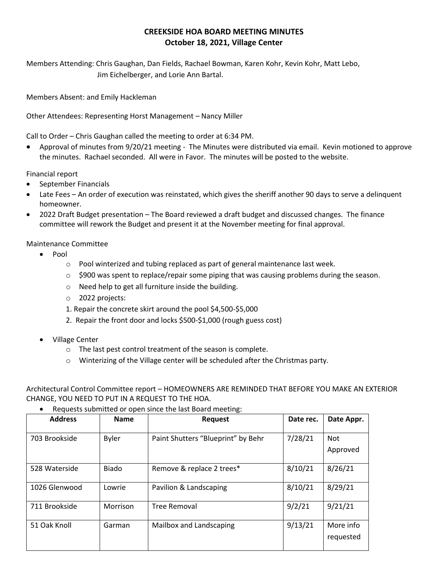## **CREEKSIDE HOA BOARD MEETING MINUTES October 18, 2021, Village Center**

Members Attending: Chris Gaughan, Dan Fields, Rachael Bowman, Karen Kohr, Kevin Kohr, Matt Lebo, Jim Eichelberger, and Lorie Ann Bartal.

Members Absent: and Emily Hackleman

Other Attendees: Representing Horst Management – Nancy Miller

Call to Order – Chris Gaughan called the meeting to order at 6:34 PM.

• Approval of minutes from 9/20/21 meeting - The Minutes were distributed via email. Kevin motioned to approve the minutes. Rachael seconded. All were in Favor. The minutes will be posted to the website.

Financial report

- September Financials
- Late Fees An order of execution was reinstated, which gives the sheriff another 90 days to serve a delinquent homeowner.
- 2022 Draft Budget presentation The Board reviewed a draft budget and discussed changes. The finance committee will rework the Budget and present it at the November meeting for final approval.

Maintenance Committee

- Pool
	- $\circ$  Pool winterized and tubing replaced as part of general maintenance last week.
	- $\circ$  \$900 was spent to replace/repair some piping that was causing problems during the season.
	- o Need help to get all furniture inside the building.
	- o 2022 projects:
	- 1. Repair the concrete skirt around the pool \$4,500-\$5,000
	- 2. Repair the front door and locks \$500-\$1,000 (rough guess cost)
- Village Center
	- o The last pest control treatment of the season is complete.
	- $\circ$  Winterizing of the Village center will be scheduled after the Christmas party.

Architectural Control Committee report – HOMEOWNERS ARE REMINDED THAT BEFORE YOU MAKE AN EXTERIOR CHANGE, YOU NEED TO PUT IN A REQUEST TO THE HOA.

• Requests submitted or open since the last Board meeting:

| <b>Address</b> | <b>Name</b>  | <b>Request</b>                     | Date rec. | Date Appr.             |
|----------------|--------------|------------------------------------|-----------|------------------------|
| 703 Brookside  | <b>Byler</b> | Paint Shutters "Blueprint" by Behr | 7/28/21   | <b>Not</b><br>Approved |
| 528 Waterside  | <b>Biado</b> | Remove & replace 2 trees*          | 8/10/21   | 8/26/21                |
| 1026 Glenwood  | Lowrie       | Pavilion & Landscaping             | 8/10/21   | 8/29/21                |
| 711 Brookside  | Morrison     | <b>Tree Removal</b>                | 9/2/21    | 9/21/21                |
| 51 Oak Knoll   | Garman       | Mailbox and Landscaping            | 9/13/21   | More info<br>requested |